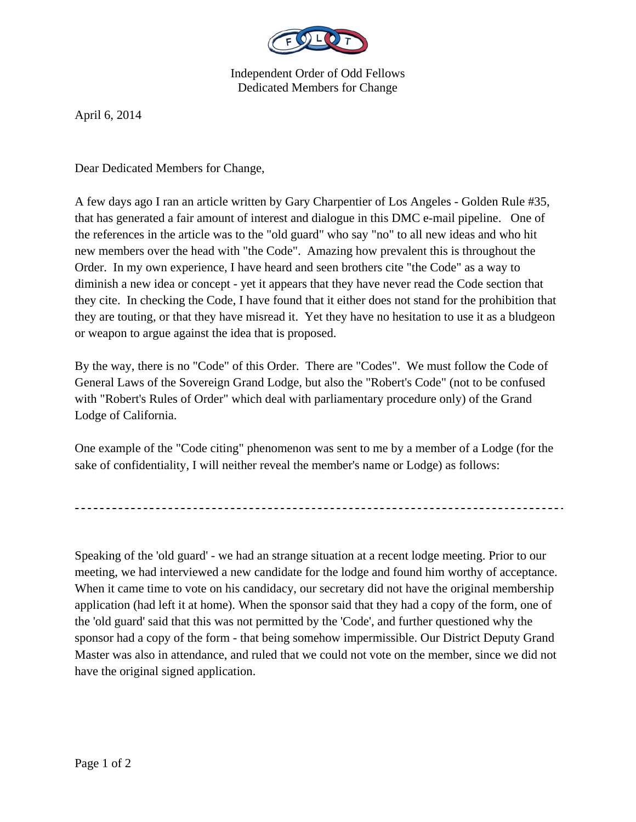

Independent Order of Odd Fellows Dedicated Members for Change

April 6, 2014

Dear Dedicated Members for Change,

A few days ago I ran an article written by Gary Charpentier of Los Angeles - Golden Rule #35, that has generated a fair amount of interest and dialogue in this DMC e-mail pipeline. One of the references in the article was to the "old guard" who say "no" to all new ideas and who hit new members over the head with "the Code". Amazing how prevalent this is throughout the Order. In my own experience, I have heard and seen brothers cite "the Code" as a way to diminish a new idea or concept - yet it appears that they have never read the Code section that they cite. In checking the Code, I have found that it either does not stand for the prohibition that they are touting, or that they have misread it. Yet they have no hesitation to use it as a bludgeon or weapon to argue against the idea that is proposed.

By the way, there is no "Code" of this Order. There are "Codes". We must follow the Code of General Laws of the Sovereign Grand Lodge, but also the "Robert's Code" (not to be confused with "Robert's Rules of Order" which deal with parliamentary procedure only) of the Grand Lodge of California.

One example of the "Code citing" phenomenon was sent to me by a member of a Lodge (for the sake of confidentiality, I will neither reveal the member's name or Lodge) as follows:

Speaking of the 'old guard' - we had an strange situation at a recent lodge meeting. Prior to our meeting, we had interviewed a new candidate for the lodge and found him worthy of acceptance. When it came time to vote on his candidacy, our secretary did not have the original membership application (had left it at home). When the sponsor said that they had a copy of the form, one of the 'old guard' said that this was not permitted by the 'Code', and further questioned why the sponsor had a copy of the form - that being somehow impermissible. Our District Deputy Grand Master was also in attendance, and ruled that we could not vote on the member, since we did not have the original signed application.